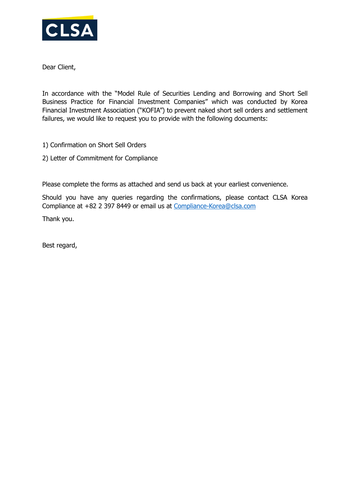

Dear Client,

In accordance with the "Model Rule of Securities Lending and Borrowing and Short Sell Business Practice for Financial Investment Companies" which was conducted by Korea Financial Investment Association ("KOFIA") to prevent naked short sell orders and settlement failures, we would like to request you to provide with the following documents:

- 1) Confirmation on Short Sell Orders
- 2) Letter of Commitment for Compliance

Please complete the forms as attached and send us back at your earliest convenience.

Should you have any queries regarding the confirmations, please contact CLSA Korea Compliance at +82 2 397 8449 or email us at [Compliance-Korea@clsa.com](mailto:Compliance-Korea@clsa.com)

Thank you.

Best regard,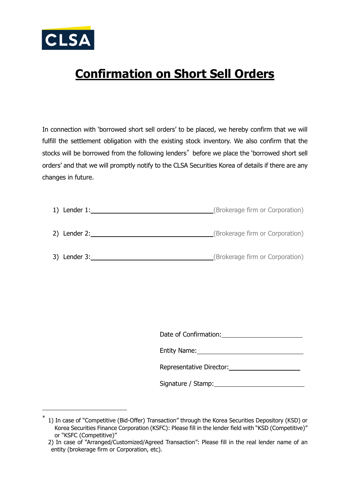

<span id="page-1-0"></span>-

## **Confirmation on Short Sell Orders**

In connection with 'borrowed short sell orders' to be placed, we hereby confirm that we will fulfill the settlement obligation with the existing stock inventory. We also confirm that the stocks will be borrowed from the following lenders<sup>[\\*](#page-1-0)</sup> before we place the 'borrowed short sell orders' and that we will promptly notify to the CLSA Securities Korea of details if there are any changes in future.

| 1) Lender $1$ : | (Brokerage firm or Corporation) |
|-----------------|---------------------------------|
| 2) Lender 2:    | (Brokerage firm or Corporation) |
| 3) Lender 3:    | (Brokerage firm or Corporation) |

Date of Confirmation:

Entity Name:

| Representative Director: |  |
|--------------------------|--|
|                          |  |

Signature / Stamp:

<sup>\*</sup> 1) In case of "Competitive (Bid-Offer) Transaction" through the Korea Securities Depository (KSD) or Korea Securities Finance Corporation (KSFC): Please fill in the lender field with "KSD (Competitive)" or "KSFC (Competitive)"

 <sup>2)</sup> In case of "Arranged/Customized/Agreed Transaction": Please fill in the real lender name of an entity (brokerage firm or Corporation, etc).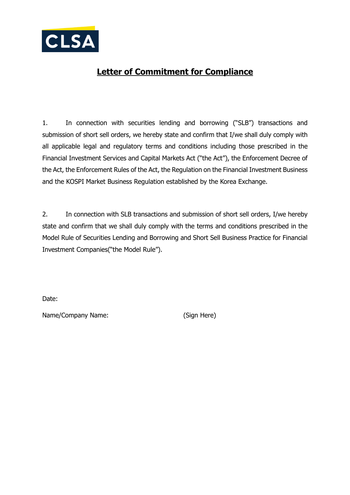

## **Letter of Commitment for Compliance**

1. In connection with securities lending and borrowing ("SLB") transactions and submission of short sell orders, we hereby state and confirm that I/we shall duly comply with all applicable legal and regulatory terms and conditions including those prescribed in the Financial Investment Services and Capital Markets Act ("the Act"), the Enforcement Decree of the Act, the Enforcement Rules of the Act, the Regulation on the Financial Investment Business and the KOSPI Market Business Regulation established by the Korea Exchange.

2. In connection with SLB transactions and submission of short sell orders, I/we hereby state and confirm that we shall duly comply with the terms and conditions prescribed in the Model Rule of Securities Lending and Borrowing and Short Sell Business Practice for Financial Investment Companies("the Model Rule").

Date:

Name/Company Name: (Sign Here)